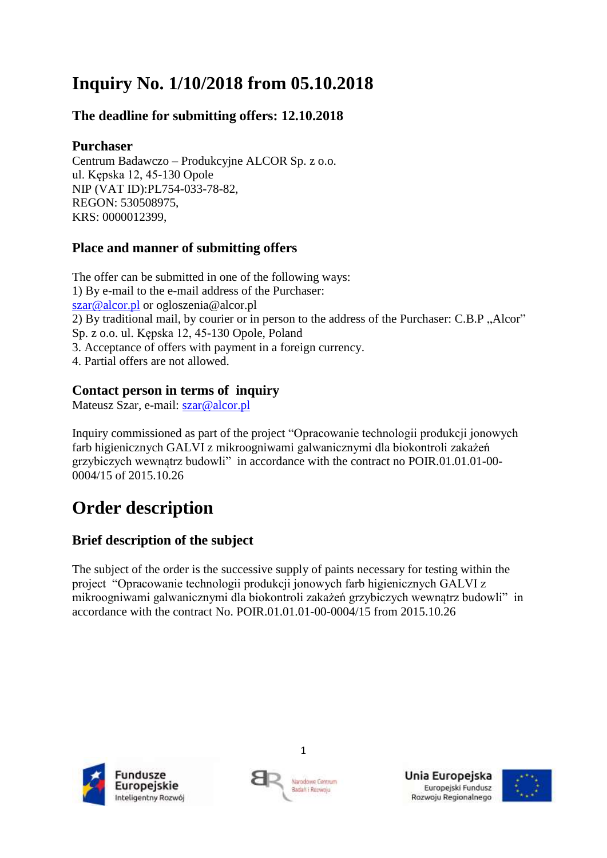# **Inquiry No. 1/10/2018 from 05.10.2018**

# **The deadline for submitting offers: 12.10.2018**

## **Purchaser**

Centrum Badawczo – Produkcyjne ALCOR Sp. z o.o. ul. Kępska 12, 45-130 Opole NIP (VAT ID):PL754-033-78-82, REGON: 530508975, KRS: 0000012399,

# **Place and manner of submitting offers**

The offer can be submitted in one of the following ways: 1) By e-mail to the e-mail address of the Purchaser: [szar@alcor.pl](mailto:szar@alcor.pl) or ogloszenia@alcor.pl 2) By traditional mail, by courier or in person to the address of the Purchaser: C.B.P "Alcor" Sp. z o.o. ul. Kępska 12, 45-130 Opole, Poland 3. Acceptance of offers with payment in a foreign currency. 4. Partial offers are not allowed.

# **Contact person in terms of inquiry**

Mateusz Szar, e-mail: [szar@alcor.pl](mailto:szar@alcor.pl)

Inquiry commissioned as part of the project "Opracowanie technologii produkcji jonowych farb higienicznych GALVI z mikroogniwami galwanicznymi dla biokontroli zakażeń grzybiczych wewnątrz budowli" in accordance with the contract no POIR.01.01.01-00- 0004/15 of 2015.10.26

# **Order description**

# **Brief description of the subject**

The subject of the order is the successive supply of paints necessary for testing within the project "Opracowanie technologii produkcji jonowych farb higienicznych GALVI z mikroogniwami galwanicznymi dla biokontroli zakażeń grzybiczych wewnątrz budowli" in accordance with the contract No. POIR.01.01.01-00-0004/15 from 2015.10.26





Unia Europejska Europejski Fundusz Rozwoju Regionalnego



1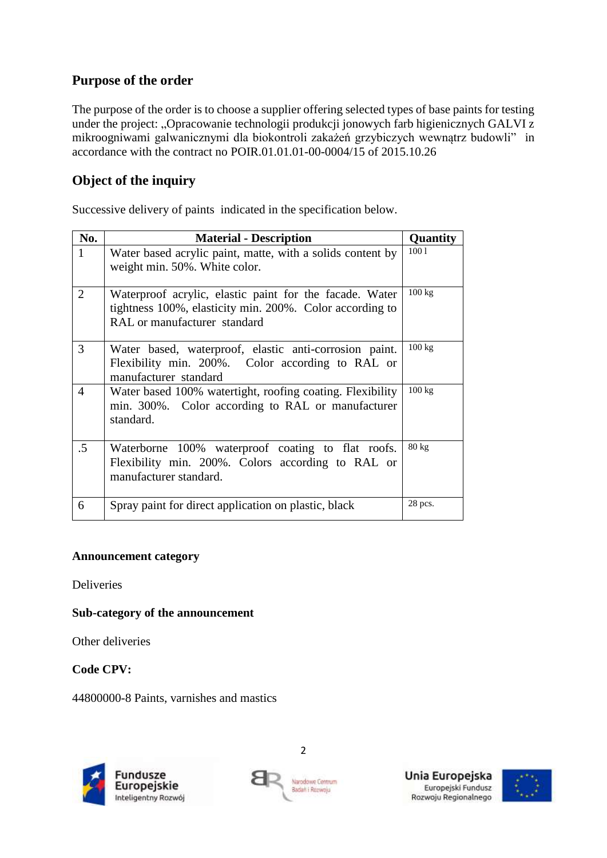## **Purpose of the order**

The purpose of the order is to choose a supplier offering selected types of base paints for testing under the project: "Opracowanie technologii produkcji jonowych farb higienicznych GALVI z mikroogniwami galwanicznymi dla biokontroli zakażeń grzybiczych wewnątrz budowli" in accordance with the contract no POIR.01.01.01-00-0004/15 of 2015.10.26

# **Object of the inquiry**

Successive delivery of paints indicated in the specification below.

| No.            | <b>Material - Description</b>                                                                                                                       | Quantity        |
|----------------|-----------------------------------------------------------------------------------------------------------------------------------------------------|-----------------|
| $\mathbf{1}$   | Water based acrylic paint, matte, with a solids content by<br>weight min. 50%. White color.                                                         | 1001            |
| $\overline{2}$ | Waterproof acrylic, elastic paint for the facade. Water<br>tightness 100%, elasticity min. 200%. Color according to<br>RAL or manufacturer standard | 100 kg          |
| 3              | Water based, waterproof, elastic anti-corrosion paint.<br>Flexibility min. 200%. Color according to RAL or<br>manufacturer standard                 | 100 kg          |
| 4              | Water based 100% watertight, roofing coating. Flexibility<br>min. 300%. Color according to RAL or manufacturer<br>standard.                         | 100 kg          |
| $.5\,$         | Waterborne 100% waterproof coating to flat roofs.<br>Flexibility min. 200%. Colors according to RAL or<br>manufacturer standard.                    | $80 \text{ kg}$ |
| 6              | Spray paint for direct application on plastic, black                                                                                                | 28 pcs.         |

#### **Announcement category**

Deliveries

#### **Sub-category of the announcement**

Other deliveries

**Code CPV:**

44800000-8 Paints, varnishes and mastics







2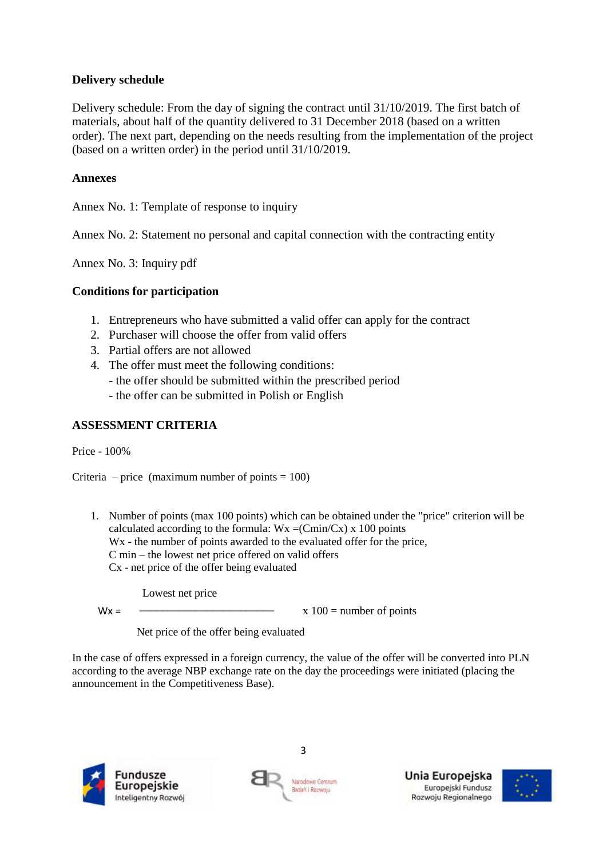#### **Delivery schedule**

Delivery schedule: From the day of signing the contract until 31/10/2019. The first batch of materials, about half of the quantity delivered to 31 December 2018 (based on a written order). The next part, depending on the needs resulting from the implementation of the project (based on a written order) in the period until 31/10/2019.

#### **Annexes**

Annex No. 1: Template of response to inquiry

Annex No. 2: Statement no personal and capital connection with the contracting entity

Annex No. 3: Inquiry pdf

#### **Conditions for participation**

- 1. Entrepreneurs who have submitted a valid offer can apply for the contract
- 2. Purchaser will choose the offer from valid offers
- 3. Partial offers are not allowed
- 4. The offer must meet the following conditions:
	- the offer should be submitted within the prescribed period
	- the offer can be submitted in Polish or English

#### **ASSESSMENT CRITERIA**

Price - 100%

Criteria – price (maximum number of points  $= 100$ )

1. Number of points (max 100 points) which can be obtained under the "price" criterion will be calculated according to the formula:  $Wx = (Cmin/Cx) x 100$  points W<sub>x</sub> - the number of points awarded to the evaluated offer for the price, C min – the lowest net price offered on valid offers Cx - net price of the offer being evaluated

Lowest net price

 $M/\nu$  –  $\sim$  –  $\sim$  –  $\sim$  –  $\sim$  –  $\sim$  –  $\sim$  –  $\sim$  –  $\sim$  –  $\sim$  –  $\sim$  –  $\sim$  –  $\sim$  –  $\sim$  –  $\sim$  –  $\sim$  –  $\sim$  –  $\sim$  –  $\sim$  –  $\sim$  –  $\sim$  –  $\sim$  –  $\sim$  –  $\sim$  –  $\sim$  –  $\sim$  –  $\sim$  –  $\sim$  –  $\sim$  –  $\sim$  –  $\sim$  –  $\sim$ 

Wx = x 100 = number of points

Net price of the offer being evaluated

In the case of offers expressed in a foreign currency, the value of the offer will be converted into PLN according to the average NBP exchange rate on the day the proceedings were initiated (placing the announcement in the Competitiveness Base).





3